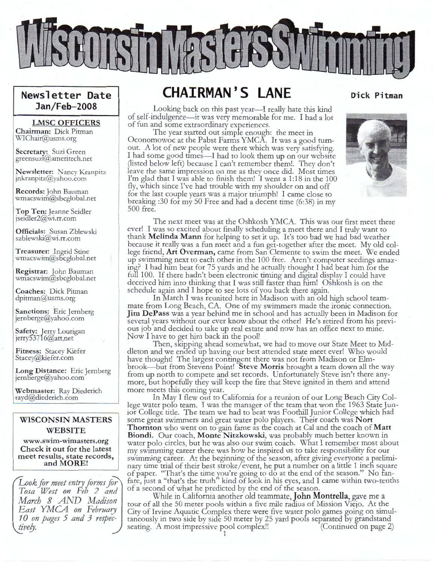

## **Newsletter Date Jan/Feb-2008**

#### **LMSC OFFICERS**

**Chairman:** Dick Pitman WIChair@usms.org

**Secretary:** Suzi Green greensuz1@ameritech.net

**Newsletter:** Nancy Kranpitz jnkranpitz@yahoo.com

**Records:** John Bauman wmacswim@sbcglobal.net

**Top Ten:** Jeanne Seidler jseidler2@wi.rr.com

**Officials:** Susan Zblewski szblewski@wi.rr.com

**Treasurer:** Ingrid Stine wmacswim@sbcglobal.net

**Registrar:** lohn Bauman wmacswim@sbcglobal.net

**Coaches:** Dick Pitman dpitman@usms.org

**Sanctions:** Eric Jernberg<br>jernberge@yahoo.com

**Safety:** Jerry Lourigan jerry53716@att.net

**Fitness:** Stacey Kiefer Stacey@kiefer.com

**Long Distance:** Eric Jernberg jernberge@yahoo.com

**Webmaster:** Ray Diederich rayd@diederich.com

#### **WISCONSIN MASTERS WEBSITE**

**www.swim-wimasters.org Check it out for the latest meet results, state records, and MORE!** 

*Look for meet entry forms for Tosa West on Feb 2 and March 8 AND Madison East* YMG4 *on February 10 on pages 5 and 3 respectivefy.* 

# **CHAIRMAN'S LANE**

Looking back on this past year—I really hate this kind of self-indulgence-it was very memorable for me. I had a lot of fun and some extraordinary experiences.

The year started out simpie enough: the meet in Oconomowoc at the Pabst Farms YMCA. It was a good turnout. A lot of new people were there which was very satisfying. I had some good times—I had to look them up on our website (listed below left) because I can't remember them!. They don't leave the same impression on me as they once did. Most times I'm glad that I was able to finish them! I went a 1:18 in the 100 fly, which since I've had trouble with my shoulder on and off for the last couple years was a major triumph! I came close to breaking :30 for my 50 Free and had a decent time (6:38) in my 500 free.



**Dick Pitman** 

The next meet was at the Oshkosh YMCA. This was our first meet there ever! I was so excited about finally scheduling a meet there and I truly want to thank **Melinda Mann** for helping to set it up. It's too bad we had bad weather because it really was a fun meet and a fun get-together after the meet. My old college friend, **Art Overman,** came from San Clemente to swim the meet. We ended up swimming next to each other in the 100 free. Aren't computer seedings amazing? I had him beat for 75 yards and he actually thought I had beat him for the full 100. If there hadn't been electronic timing and digital display I could have deceived him into thinking that I was still faster than  $\overline{h}$  m. Oshkosh is on the schedule again and I hope to see lots of you back there again.

In March I was reunited here in Madison with an old high school teammate from Long Beach, CA. One of my swimmers made the ironic connection. **Jim DePass** was a year behind me in school and has actually been in Madison for several years without our ever know about the other! He's retired from his previous job and decided to take up real estate and now has an office next to mine. Now I have to get him back in the pool!

Then, skipping ahead somewhat, we had to move our State Meet to Middleton and we ended up having our best attended state meet ever! Who would have thought! The largest contingent there was not from Madison or Elmbrook- but from Stevens Point! **Steve Morris** brought a team down all the way from up north to compete and set records. Unfortunately Steve isn't there anymore, but hopefully they will keep the fire that Steve ignited in them and attend more meets this coming year.

In May I flew out to California for a reunion of our Long Beach City College water polo team. I was the manager of the team that won the 1963 State Junior College title. The team we had to beat was Foothill Junior College which had some great swimmers and great water polo players. Their coach was **Nort Thornton** who went on to gain fame as the coach at Cal and the coach of **Matt Biondi.** Our coach, **Monte Nitzkowski,** was probably much better known in water polo circles, but he was also our swim coach. What I remember most about my swimming career there was how he inspired us to take responsibility for our swimming career. At the beginning of the season, after giving everyone a preliminary time trial of their best stroke/ event, he put a number on a little 1 inch square of paper. "That's the time you're going to do at the end of the season." No fanfare, just a "that's the truth" kind of look in his eyes, and I came within two-tenths of a second of what he predicted by the end of the season.

While in California another old teammate, **John Montrella,** gave me a tour of all the 50 meter pools within a five mile radius of Mission Viejo. At the City of Irvine Aquatic Complex there were five water polo games going on simultaneously in two side by side 50 meter by 25 yard poofs separated by grandstand seating. A most impressive pool complex!! 1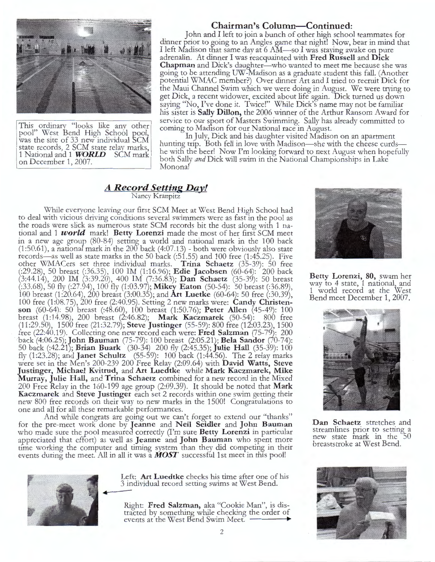

This ordinary "looks like any other pool" West Bend High School pool, was the site of 33 new individual SCM state records, 2 SCM state relay marks, 1 National and 1 **WORLD** SCM mark on December 1, 2007.

#### **Chairman's Column-Continued:**

John and I left to join a bunch of other high school teammates for dinner prior to going to an Angles game that night! Now, bear in mind that I left Madison that same day at 6 AM-so I was staying awake on pure adrenalin. At dinner I was reacquainted with **Fred Russell** and **Dick Chapman** and Dick's daughter—who wanted to meet me because she was going to be attending UW-Madison as a graduate student this fall. (Another potential WMAC member?) Over dinner Art and I tried to recruit Dick for the Maui Channel Swim which we were doing in August. We were trying to get Dick, a recent widower, excited about life again. Dick turned us down saying "No, I've done it. Twice!" While Dick's name may not be familiar his sister is **Sally Dillon,** the 2006 winner of the Arthur Ransom Award for service to our sport of Masters Swimming. Sally has already committed to coming to Madison for our National race in August.

In July, Dick and his daughter visited Madison on an apartment hunting trip. Both fell in love with Madison—she with the cheese curdshe witn the beer! Now I'm looking forward to next August when hopefully both Sally *and* Dick will swim in the National Championships in Lake Monona!

#### *A Record Setting Day!* Nancy Kranpitz

While everyone leaving our first SCM Meet at West Bend High School had to deal with vicious driving conditions several swimmers were as fast in the pool as the roads were slick as numerous state SCM records bit the dust along with 1 national and 1 *world* mark! **Betty Lorenzi** made the most of her first SCM meet in a new age group  $(80-84)$  setting a world and national mark in the 100 back (1:50.61), a national mark in the  $200$  back (4:07.13) - both were obviously also state records-as well as state marks in the 50 back (:51.55) and 100 free (1:45.25). Five other WMACers set three individual marks. **Trina Schaetz** (35-39): 50 free (:29.28), 50 breast (:36.35), 100 IM (1 :16.96); **Edie Jacobsen** (60-64): 200 back (3:44.14), 200 IM (3:39.20), 400 IM (7:36.83); **Dan Schaetz** (35-39): 50 breast (:33.68), 50 fly (:27.94), 100 fly (1 :03.97); **Mikey Eaton** (50-54): 50 breast (:36.89), 100 breast (1 :20.64), 200 breast (3:00.35); and **Art Luetke** (60-64): 50 free (:30.39), 100 free (1 :08.75), 200 free (2:40.95). Setting 2 new marks were: **Candy Christenson** (60-64): 50 breast (:48.60), 100 breast (1:50.76); **Peter Allen** (45-49): 100 breast (1:14.98), 200 breast (2:46.82); **Mark Kaczmarek** (50-54): 800 free (11 :29.50), 1500 free (21 :32.79); **Steve Justinger** (55-59): 800 free (12:03.23), 1500 tree (22:40.19). Collecting one new record each were: **Fred Salzman** (75-79): 200 back (4:06.25); **John Bauman** (75-79): 100 breast (2:05.21); **Bela Sandor** (70-74): 50 back (:42.21); **Brian Buark** (30-34) 200 fly (2:45.35); **Julie Hall** (35-39): 100 fly (1:23.28); and **Janet Schultz** (55-59): 100 back (1:44.56). The 2 relay marks were set in the Men's 200-239 200 Free Relay (2:09.64) with **David Watts, Steve Justinger, Michael Kvitrud,** and **Art Luedtke** while **Mark Kaczmarek, Mike Murray, Julie Hall,** and **Trina Schaetz** combined for a new record in the Mixed 200 Free Relay in the 160-199 age group (2:09.39). It should be noted that **Mark Kaczmarek** and **Steve Justinger** each set 2 records within one swim getting their new 800 free records on their way to new marks in the 1500! Congratulations to one and all for all these remarkable performances.

And while congrats are going out we can't forget to extend our "thanks" for the pre-meet work done by **Jeanne** and **Neil Seidler** and **John Bauman**  who made sure the pool measured correctly (I'm sure **Betty Lorenzi** in particular appreciated that effort) as well as **Jeanne** and **John Bauman** who spent more time working the computer and timing system than they did competing in their events during the meet. All in all it was a *MOST* successful 1st meet in this pool!



Left: **Art Luedtke** checks his time after one of his 3 individual record setting swims at West Bend.

Right: **Fred Salzman,** aka "Cookie Man", is distracted by something while checking the order of events at the West Bend Swim Meet.



**Betty Lorenzi, 80,** swam her way to 4 state, 1 national, and 1 world record at the West Bend meet December 1, 2007.



**Dan Schaetz** stretches and streamlines prior to setting a new state mark in the 50 breaststroke at West Bend.

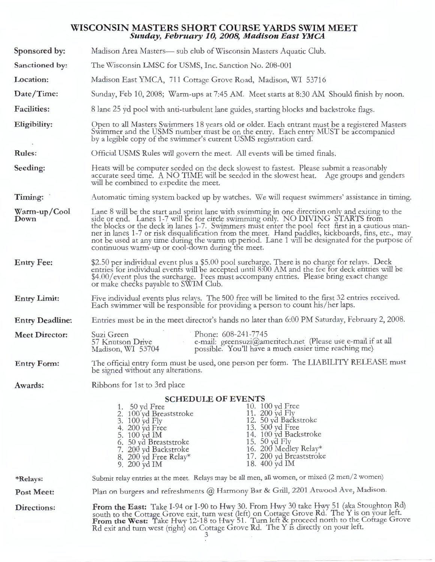#### **WISCONSIN MASTERS SHORT COURSE YARDS SWIM MEET Sunday, February 10, 2008, Madison East YMCA**

| Sponsored by:          | Madison Area Masters— sub club of Wisconsin Masters Aquatic Club.                                                                                                                                                                                                                                                                                                                                                                                                                                                                                 |
|------------------------|---------------------------------------------------------------------------------------------------------------------------------------------------------------------------------------------------------------------------------------------------------------------------------------------------------------------------------------------------------------------------------------------------------------------------------------------------------------------------------------------------------------------------------------------------|
| Sanctioned by:         | The Wisconsin LMSC for USMS, Inc. Sanction No. 208-001                                                                                                                                                                                                                                                                                                                                                                                                                                                                                            |
| Location:              | Madison East YMCA, 711 Cottage Grove Road, Madison, WI 53716                                                                                                                                                                                                                                                                                                                                                                                                                                                                                      |
| Date/Time:             | Sunday, Feb 10, 2008; Warm-ups at 7:45 AM. Meet starts at 8:30 AM Should finish by noon.                                                                                                                                                                                                                                                                                                                                                                                                                                                          |
| <b>Facilities:</b>     | 8 lane 25 yd pool with anti-turbulent lane guides, starting blocks and backstroke flags.                                                                                                                                                                                                                                                                                                                                                                                                                                                          |
| Eligibility:           | Open to all Masters Swimmers 18 years old or older. Each entrant must be a registered Masters<br>Swimmer and the USMS number must be on the entry. Each entry MUST be accompanied<br>by a legible copy of the swimmer's current USMS registration card.                                                                                                                                                                                                                                                                                           |
| <b>Rules:</b>          | Official USMS Rules will govern the meet. All events will be timed finals.                                                                                                                                                                                                                                                                                                                                                                                                                                                                        |
| Seeding:               | Heats will be computer seeded on the deck slowest to fastest. Please submit a reasonably<br>accurate seed time. A NO TIME will be seeded in the slowest heat. Age groups and genders<br>will be combined to expedite the meet.                                                                                                                                                                                                                                                                                                                    |
| Timing:                | Automatic timing system backed up by watches. We will request swimmers' assistance in timing.                                                                                                                                                                                                                                                                                                                                                                                                                                                     |
| Warm-up/Cool<br>Down   | Lane 8 will be the start and sprint lane with swimming in one direction only and exiting to the<br>side or end. Lanes 1-7 will be for circle swimming only. NO DIVING STARTS from<br>the blocks or the deck in lanes 1-7. Swimmers must enter the pool feet first in a cautious man-<br>ner in lanes 1-7 or risk disqualification from the meet. Hand paddles, kickboards, fins, etc., may<br>not be used at any time during the warm up period. Lane 1 will be designated for the purpose of<br>continuous warm-up or cool-down during the meet. |
| <b>Entry Fee:</b>      | \$2.50 per individual event plus a \$5.00 pool surcharge. There is no charge for relays. Deck<br>entries for individual events will be accepted until 8.00 AM and the fee for deck entries will be<br>\$4.00/event plus the surcharge. Fees must accompany entries. Please bring exact change<br>or make checks payable to SWIM Club.                                                                                                                                                                                                             |
| <b>Entry Limit:</b>    | Five individual events plus relays. The 500 free will be limited to the first 32 entries received.<br>Each swimmer will be responsible for providing a person to count his/her laps.                                                                                                                                                                                                                                                                                                                                                              |
| <b>Entry Deadline:</b> | Entries must be in the meet director's hands no later than 6:00 PM Saturday, February 2, 2008.                                                                                                                                                                                                                                                                                                                                                                                                                                                    |
| <b>Meet Director:</b>  | Phone: 608-241-7745<br>Suzi Green<br>e-mail: greensuzi@ameritech.net (Please use e-mail if at all<br>57 Knutson Drive<br>possible. You'll have a much easier time reaching me)<br>Madison, WI 53704                                                                                                                                                                                                                                                                                                                                               |
| <b>Entry Form:</b>     | The official entry form must be used, one person per form. The LIABILITY RELEASE must<br>be signed without any alterations.                                                                                                                                                                                                                                                                                                                                                                                                                       |
| Awards:                | Ribbons for 1st to 3rd place                                                                                                                                                                                                                                                                                                                                                                                                                                                                                                                      |
|                        | <b>SCHEDULE OF EVENTS</b><br>10. 100 yd Free<br>1. $50 \text{ yd}$ Free<br>11. 200 yd Fly<br>2. 100 yd Breaststroke<br>12. 50 yd Backstroke<br>3. 100 yd Fly<br>13. 500 yd Free<br>4. 200 yd Free<br>14. 100 yd Backstroke<br>5. 100 yd IM<br>15. 50 yd Fly<br>6. 50 yd Breaststroke<br>16. 200 Medley Relay*<br>7. 200 yd Backstroke<br>17. 200 yd Breaststroke<br>8. 200 yd Free Relay*<br>18. 400 yd IM<br>9. 200 yd IM                                                                                                                        |
| *Relays:               | Submit relay entries at the meet. Relays may be all men, all women, or mixed (2 men/2 women)                                                                                                                                                                                                                                                                                                                                                                                                                                                      |
| Post Meet:             | Plan on burgers and refreshments @ Harmony Bar & Grill, 2201 Atwood Ave, Madison.                                                                                                                                                                                                                                                                                                                                                                                                                                                                 |
| Directions:            | From the East: Take I-94 or I-90 to Hwy 30. From Hwy 30 take Hwy 51 (aka Stoughton Rd)<br>south to the Cottage Grove exit, turn west (left) on Cottage Grove Rd. The Y is on your left.<br>From the West: Take Hwy 12-18 to Hwy 51. Turn left & proceed north to the Cottage Grove<br>Rd exit and turn west (right) on Cottage Grove Rd. The Y is directly on your left.                                                                                                                                                                          |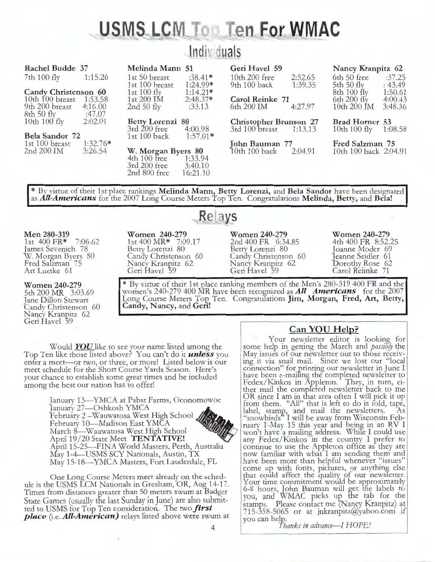# USMS LCM To **Ten For WMAC**

| <b>Rachel Budde 37</b>      |            | Melinda Mann 51         |            | Geri Havel 59                 |         | Nancy Kranpitz 62     |         |
|-----------------------------|------------|-------------------------|------------|-------------------------------|---------|-----------------------|---------|
| 7th 100 fly                 | 1:15.26    | 1st 50 breast           | $:38.41*$  | 10th 200 free                 | 2:52.65 | 6th 50 free           | :37.25  |
|                             |            | 1st 100 breast          | $1:24.99*$ | 9th 100 back                  | 1:39.35 | 5th 50 fly            | : 43.49 |
| <b>Candy Christenson 60</b> |            | 1st $100$ fly           | $1:14.21*$ |                               |         | 8th 100 fly           | 1:50.61 |
| 10th 100 breast             | 1:53.58    | $1st\ 200\ \mathrm{IM}$ | $2:48.37*$ | <b>Carol Reinke</b> 71        |         | $6th 200$ fly         | 4:00.43 |
| 9th 200 breast              | 4:16.00    | 2nd $50$ fly            | :33.13     | 6th 200 IM                    | 4:27.97 | 10th 200 IM           | 3:48.36 |
| 8th 50 fly                  | :47.07     |                         |            |                               |         |                       |         |
| 10th $100$ fly              | 2:02.01    | Betty Lorenzi 80        |            | <b>Christopher Brunson 27</b> |         | Brad Horner 53        |         |
|                             |            | $3rd$ 200 free          | 4:00.98    | 3rd 100 breast                | 1:13.13 | 10th 100 fly          | 1:08.58 |
| Bela Sandor 72              |            | 1st $100$ back          | $1:57.01*$ |                               |         |                       |         |
| 1st 100 breast              | $1:32.76*$ |                         |            | John Bauman 77                |         | Fred Salzman 75       |         |
| 2nd 200 IM                  | 3:26.54    | W. Morgan Byers 80      |            | 10th 100 back                 | 2:04.91 | 10th 100 back 2:04.91 |         |
|                             |            | $4th 100$ free          | 1:33.94    |                               |         |                       |         |
|                             |            | 3rd 200 free            | 3:40.10    |                               |         |                       |         |
|                             |            | 2nd 800 free            | 16:21.10   |                               |         |                       |         |
|                             |            |                         |            |                               |         |                       |         |

\* By virtue of their 1st place rankings **Melinda Mann, Betty Lorenzi,** and **Bela Sandor** have been designated as *All-Americans* for the 2007 Long Course Meters Top Ten. Congratulations **Melinda, Betty,** and **Bela!** 

Relays

#### **Men 280-319**

1st 400 FR\* 7:06.62 Tames Sevenich 78 W. Morgan Byers 80 Fred Salzman 75 Art Luetke 61

#### **Women 240-279**

5th 200 MR 3:03.69 Jane Dillon Stewart Candy Christenson 60 Nancy Kranpitz 62 Geri Havel 59

**Women 240-279**  1st 400 MR\* 7:09.17 Betry Lorenzi 80 Candy Christenson 60 Nancy Kranpitz 62 Geri Havel 59

**Women 240-279**  2nd 400 FR 6:34.85 Betty Lorenzi 80 Candy Christenson 60 Nancy Kranpitz 62 Geri Havel 59

**Women 240-279**  4th 400 FR 8:52.25 Dorothy Rose 62 Joanne Moder 69 anne Seidler 61 Carol Reiinke 71

\* By virtue of their 1st place ranking members of the Men's 280-319 400 FR and the women's 240-279 400 MR have been recognized as *All Americans* for the 2007 Long Course Meters Top Ten. Congratulations **Jim, Morgan, Fred, Art, Betty, Candy, Nancy,** and Geri!

Would *YOU* like to see your name listed among the Top Ten like those listed above? You can't do it *unless* you enter a meet-or two, or three, or more! Listed below is our meet schedule for the Short Course Yards Season. Here's your chance to establish some great times and be included among the best our nation has to offer!

> January 13—YMCA at Pabst Farms, Oconomowoc<br>January 27—Oshkosh YMCA February 2 - Wauwatosa West High School  $\angle$ February 10-Madison East YMCA March 8-Wauwatosa West High School April 19/20 State Meet **TENTATIVE!** April 15-25-FINA World Masters, Perth, Australia May 1-4-USMS SCY Nationals, Austin, TX May 15-18-YMCA Masters, Fort Lauderdale, FL

One Long Course Meters meet already on the schedule is the USMS LCM Nationals in Gresham, OR, Aug 14-17. Times from distances greater than 50 meters swum at Badger State Games (usually the last Sunday in June) are also submitted to USMS for Top Ten consideration. The two *first place* (i.e. *All-American)* relays listed above were swum at

### **Can YOU Help?**

Your newsletter editor is looking for some help in getting the March and *possibly* the May issues of our newsletter out to those receiv- ing it via snail mail. Since we lost our "local connection" for printing our newsletter in June I have been e-mailing the completed newsletter to Fedex/ Kinkos in Appleton. They, in turn, either mail the compfeted newsletter back to me OR since I am in that area often I will pick it up from them. "All" that is left to do is fold, tape, label, stamp, and mail the newsletters. As "snowbirds" I will be away from Wisconsin February 1-May 15 this year and being in an RV I won't have a mailing address. Whife I could use any Fedex/Kinkos in the country I prefer to continue to use the Appleton office as they are now familiar with what I am sending them and have been more than helpful whenever "issues" come up with fonts, pictures, or anything else<br>that could affect the quality of our newsletter. that could affect the quality of our newsletter.<br>Your time commitment would be approximately 6-8 hours, John Bauman will get the labels to you, and WMAC picks up the tab for the stamps. Please contact me (Nancy Kranpitz) at 715-358-5065 or at jnkranpitz@yahoo.com if you can hep. *1 'hanks in advance-I HOPE!*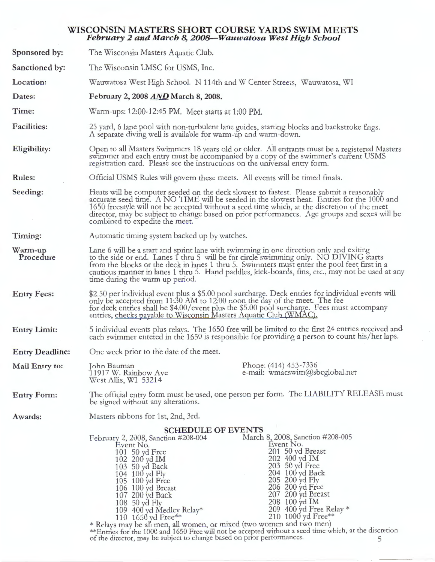#### **WISCONSIN MASTERS SHORT COURSE YARDS SWIM MEETS**  *February 2 and March 8, 2008-Wauwatosa West High School*

| Sponsored by:          | The Wisconsin Masters Aquatic Club.                                                                                                                                                                                                                                                                                                                                                                                   |                                                                                                                                                                                                                                                                                                                                                                                                                                                                           |  |  |
|------------------------|-----------------------------------------------------------------------------------------------------------------------------------------------------------------------------------------------------------------------------------------------------------------------------------------------------------------------------------------------------------------------------------------------------------------------|---------------------------------------------------------------------------------------------------------------------------------------------------------------------------------------------------------------------------------------------------------------------------------------------------------------------------------------------------------------------------------------------------------------------------------------------------------------------------|--|--|
| Sanctioned by:         | The Wisconsin LMSC for USMS, Inc.                                                                                                                                                                                                                                                                                                                                                                                     |                                                                                                                                                                                                                                                                                                                                                                                                                                                                           |  |  |
| Location:              |                                                                                                                                                                                                                                                                                                                                                                                                                       | Wauwatosa West High School. N 114th and W Center Streets, Wauwatosa, WI                                                                                                                                                                                                                                                                                                                                                                                                   |  |  |
| Dates:                 | February 2, 2008 AND March 8, 2008.                                                                                                                                                                                                                                                                                                                                                                                   |                                                                                                                                                                                                                                                                                                                                                                                                                                                                           |  |  |
| Time:                  | Warm-ups: 12:00-12:45 PM. Meet starts at 1:00 PM.                                                                                                                                                                                                                                                                                                                                                                     |                                                                                                                                                                                                                                                                                                                                                                                                                                                                           |  |  |
| <b>Facilities:</b>     | A separate diving well is available for warm-up and warm-down.                                                                                                                                                                                                                                                                                                                                                        | 25 yard, 6 lane pool with non-turbulent lane guides, starting blocks and backstroke flags.                                                                                                                                                                                                                                                                                                                                                                                |  |  |
| Eligibility:           |                                                                                                                                                                                                                                                                                                                                                                                                                       | Open to all Masters Swimmers 18 years old or older. All entrants must be a registered Masters<br>swimmer and each entry must be accompanied by a copy of the swimmer's current USMS<br>registration card. Please see the instructions on the universal entry form.                                                                                                                                                                                                        |  |  |
| <b>Rules:</b>          |                                                                                                                                                                                                                                                                                                                                                                                                                       | Official USMS Rules will govern these meets. All events will be timed finals.                                                                                                                                                                                                                                                                                                                                                                                             |  |  |
| Seeding:               | combined to expedite the meet.                                                                                                                                                                                                                                                                                                                                                                                        | Heats will be computer seeded on the deck slowest to fastest. Please submit a reasonably<br>accurate seed time. A NO TIME will be seeded in the slowest heat. Entries for the 1000 and<br>1650 freestyle will not be accepted without a seed time which, at the discretion of the meet<br>director, may be subject to change based on prior performances. Age groups and sexes will be                                                                                    |  |  |
| Timing:                | Automatic timing system backed up by watches.                                                                                                                                                                                                                                                                                                                                                                         |                                                                                                                                                                                                                                                                                                                                                                                                                                                                           |  |  |
| Warm-up<br>Procedure   | Lane 6 will be a start and sprint lane with swimming in one direction only and exiting<br>to the side or end. Lanes I thru 5 will be for circle swimming only. NO DIVING starts<br>from the blocks or the deck in lanes 1 thru 5. Swimmers must enter the pool feet first in a<br>cautious manner in lanes 1 thru 5. Hand paddles, kick-boards, fins, etc., may not be used at any<br>time during the warm up period. |                                                                                                                                                                                                                                                                                                                                                                                                                                                                           |  |  |
| <b>Entry Fees:</b>     | \$2.50 per individual event plus a \$5.00 pool surcharge. Deck entries for individual events will<br>only be accepted from 11:30 AM to 12:00 noon the day of the meet. The fee<br>for deck entries shall be \$4.00/event plus the \$5.00 pool surcharge. Fees must accompany<br>entries, checks payable to Wisconsin Masters Aquatic Club (WMAC).                                                                     |                                                                                                                                                                                                                                                                                                                                                                                                                                                                           |  |  |
| <b>Entry Limit:</b>    |                                                                                                                                                                                                                                                                                                                                                                                                                       | 5 individual events plus relays. The 1650 free will be limited to the first 24 entries received and<br>each swimmer entered in the 1650 is responsible for providing a person to count his/her laps.                                                                                                                                                                                                                                                                      |  |  |
| <b>Entry Deadline:</b> | One week prior to the date of the meet.                                                                                                                                                                                                                                                                                                                                                                               |                                                                                                                                                                                                                                                                                                                                                                                                                                                                           |  |  |
| Mail Entry to:         | John Bauman<br>11917 W. Rainbow Ave<br>West Allis, WI 53214                                                                                                                                                                                                                                                                                                                                                           | Phone: (414) 453-7336<br>e-mail: wmacswim@sbcglobal.net                                                                                                                                                                                                                                                                                                                                                                                                                   |  |  |
| <b>Entry Form:</b>     | be signed without any alterations.                                                                                                                                                                                                                                                                                                                                                                                    | The official entry form must be used, one person per form. The LIABILITY RELEASE must                                                                                                                                                                                                                                                                                                                                                                                     |  |  |
| Awards:                | Masters ribbons for 1st, 2nd, 3rd.                                                                                                                                                                                                                                                                                                                                                                                    |                                                                                                                                                                                                                                                                                                                                                                                                                                                                           |  |  |
|                        | February 2, 2008, Sanction #208-004<br>Event No.<br>101 50 yd Free<br>102 200 yd IM<br>103 50 yd Back<br>104 100 yd Fly<br>105 100 yd Free<br>106 100 yd Breast<br>107 200 yd Back<br>108 50 yd Fly<br>109 400 yd Medley Relay*<br>110 1650 yd Free**<br>of the director, may be subject to change based on prior performances.                                                                                       | <b>SCHEDULE OF EVENTS</b><br>March 8, 2008, Sanction #208-005<br>Event No.<br>201 50 yd Breast<br>202 400 yd IM<br>203 50 yd Free<br>204 100 yd Back<br>205 200 yd Fly<br>206 200 yd Free<br>207 200 yd Breast<br>208 100 yd IM<br>209 400 yd Free Relay $*$<br>210 1000 yd Free**<br>* Relays may be all men, all women, or mixed (two women and two men)<br>**Entries for the 1000 and 1650 Free will not be accepted without a seed time which, at the discretion<br>5 |  |  |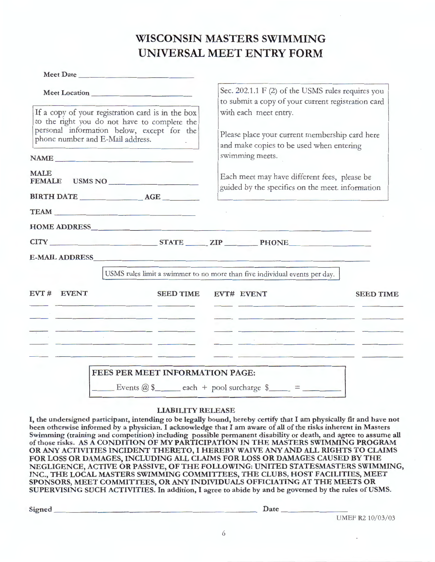## **WISCONSIN MASTERS SWIMMING UNIVERSAL MEET ENTRY FORM**

| Meet Location                                                                                                                                                                       | Sec. 202.1.1 F (2) of the USMS rules requires you<br>to submit a copy of your current registration card<br>with each meet entry.<br>Please place your current membership card here<br>and make copies to be used when entering<br>swimming meets. |  |  |  |
|-------------------------------------------------------------------------------------------------------------------------------------------------------------------------------------|---------------------------------------------------------------------------------------------------------------------------------------------------------------------------------------------------------------------------------------------------|--|--|--|
| If a copy of your registration card is in the box<br>to the right you do not have to complete the<br>personal information below, except for the<br>phone number and E-Mail address. |                                                                                                                                                                                                                                                   |  |  |  |
| <b>MALE</b><br>FEMALE USMS NO                                                                                                                                                       | Each meet may have different fees, please be<br>guided by the specifics on the meet. information                                                                                                                                                  |  |  |  |
| TEAM TEAM<br>HOME ADDRESS MANAGEMENT CONTINUES.                                                                                                                                     |                                                                                                                                                                                                                                                   |  |  |  |
| CITY STATE ZIP PHONE<br><b>E-MAIL ADDRESS</b>                                                                                                                                       | USMS rules limit a swimmer to no more than five individual events per day.                                                                                                                                                                        |  |  |  |
| EVT # EVENT<br><b>SEED TIME</b>                                                                                                                                                     | EVT# EVENT<br><b>SEED TIME</b>                                                                                                                                                                                                                    |  |  |  |
| <u> 1989 - Johann Stein, amerikansk politiker (* 1908)</u>                                                                                                                          |                                                                                                                                                                                                                                                   |  |  |  |
|                                                                                                                                                                                     | <u> 1989 - John Stone, amerikansk politiker (</u><br><u> La provincia de la contrada de la contrada de la contrada de la contrada de la contrada de la contrada de la</u>                                                                         |  |  |  |
|                                                                                                                                                                                     |                                                                                                                                                                                                                                                   |  |  |  |

#### **LIABILITY RELEASE**

I, **the undersigned participant, intending to be legally bound, hereby certify that** I **am physically fit and have not been otherwise informed by a physician.** I **acknowledge that** I **am aware** of **all** of **the risks inherent in Masters Swimming (training and competition) including possible permanent disability or death, and agree to assume all of those risks. AS A CONDITION OF MY PARTICIPATION IN THE MASTERS SWIMMING PROGRAM OR ANY ACTIVITIES INCIDENT THERETO,** I **HEREBY WAIVE ANY AND ALL RIGHTS TO CLAIMS FOR LOSS OR DAMAGES, INCLUDING ALL CLAIMS FOR LOSS OR DAMAGES CAUSED BY THE NEGLIGENCE, ACTIVE OR PASSIVE, OF THE FOLLOWING: UNITED STATESMASTERS SWIMMING, INC., THE LOCAL MASTERS SWIMMING COMMITTEES, THE CLUBS, HOST FACILITIES, MEET SPONSORS, MEET COMMITTEES, OR ANY INDIVIDUALS OFFICIATING AT THE MEETS OR SUPERVISING SUCH ACTIVITIES.** In **addition,** I **agree to abide by and be governed by the rules ofUSMS.** 

Signed \_\_\_\_\_\_\_\_\_\_\_\_\_\_\_\_\_\_\_\_\_\_ \_ Date \_\_\_\_\_\_\_ \_

UMEF R2 10/03/03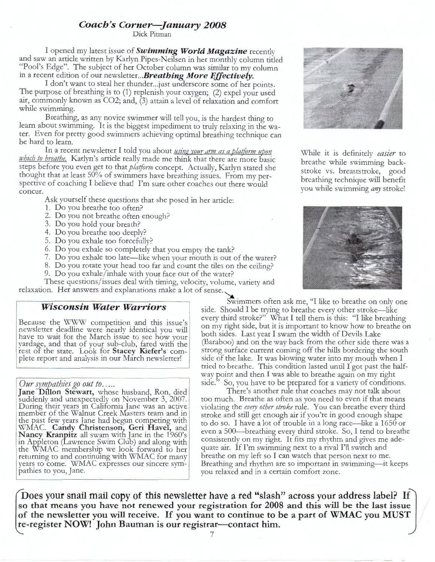## **Coach's Corner-January 2008**

Dick Pitman

I opened my latest issue of *Swimming World Magazine* recently and saw an article written by Karlyn Pipes-Neilsen in her monthly column titled "Pool's Edge". The subject of her October column was similar to my column in a recent edition of our newsletter... **Breathing More Effectively.** 

I don't want to steal her thunder...just underscore some of her points. The purpose of breathing is to (1) replenish your oxygen; (2) expel your used air, commonly known as  $CO2$ ; and,  $(3)$  attain a level of relaxation and comfort while swimming.

Breathing, as any novice swimmer will tell you, is the hardest thing to learn about swimming. It is the biggest impediment to truly relaxing in the water. Even for pretty good swimmers achieving optimal breathing technique can be hard to learn.

In a recent newsletter I told you about *using your arm as a platform upon phich to breathe.* Karlyn's article really made me think that there are more basic steps before you even get to that *platform* concept. Actually, Karlyn stated she thought that at least 50% of swimmers have breathing issues. From my perspective of coaching I believe that! I'm sure other coaches out there would concur.

Ask yourself these questions that she posed in her article:

- 1. Do you breathe too often?
- 2. Do you not breathe often enough?
- 3. Do you hold your breath?
- 4. Do you breathe too deeply?
- 5. Do you exhale too forcefully?
- 6. Do you exhale so completely that you empty the tank?
- 7. Do you exhale too late—like when your mouth is out of the water?
- 8. Do you rotate your head too far and count the tiles on the ceiling?
- 9. Do you exhale/inhale with your face out of the water?

These questions/issues deal with timing, velocity, volume, variety and relaxation. Her answers and explanations make a lot of sense.

Because the WWW competition and this issue's newsletter deadline were nearly identical you will have to wait for the March issue to see how your yardage, and that of your sub-club, fared with the rest oT the state. Look for **Stacey Kiefer's** complete report and analysis in our March newsletter!

*Our sympathies go out to.....* Jane Dillon Stewart, whose husband, Ron, died suddenly and unexpectedly on November 3, 2007. During their years in California Jane was an active member of the Walnut Creek Masters team and in the past few years lane had begun competing with WMAC. Candy Christenson, Geri Havel, and Nancy Kranpitz all swam with Jane in the 1960's in Appleton (Lawrence Swim Club) and along with the WMAC membership we look forward to her returning to and continuing with WMAC for many years to come. WMAC expresses our sincere sympathies to you, Jane.

**Wisconsin Water Warriors** side Should I be traing to breathe every other stroke, like side. Should I be trying to breathe every other stroke—like every third stroke?" What I tell them is this: "I like breathing on my right side, but it is important to know how to breathe on both sides. Last year I swam the width of Devils Lake (Baraboo) and on the way back from the other side there was a strong surface current coming off the hills bordering the south side of the lake. It was blowing water into my mouth when I tried to breathe. This condition lasted until I got past the halfway point and then I was able to breathe again on my right side." So, you have to be prepared for a variety of conditions.

There's another rule that coaches may not talk about too much. Breathe as often as you need to even if that means violating the *every other stroke* rule. You can breathe every third stroke and still get enough air if you're in good enough shape to do so. I have a lot of trouble in a long race-like a 1650 or even a 500-breathing every third stroke. So, I tend to breathe consistently on my right. It fits my rhythm and gives me adequate air. If I'm swimming next to a rival I'll switch and breathe on my left so I can watch that person next to me. Breathing and rhythm are so important in swimming-it keeps you relaxed and in a certain comfort zone.

Does your snail mail copy of this newsletter have a red "slash" across your address label? If **so that means you have not renewed your registration for 2008 and this will be the last issue of the newsletter you will receive. If you want to continue to be a part of WMAC you MUST re-register NOW! John Bauman is our registrar-contact him.** 



While it is definitely *easier* to breathe while swimming backstroke vs. breaststroke, good breathing technique will benefit you while swimming *any* stroke!